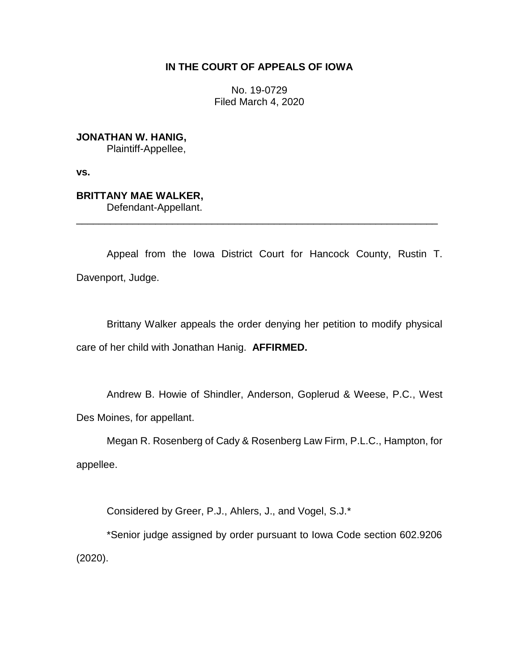## **IN THE COURT OF APPEALS OF IOWA**

No. 19-0729 Filed March 4, 2020

**JONATHAN W. HANIG,** Plaintiff-Appellee,

**vs.**

## **BRITTANY MAE WALKER,**

Defendant-Appellant.

Appeal from the Iowa District Court for Hancock County, Rustin T. Davenport, Judge.

\_\_\_\_\_\_\_\_\_\_\_\_\_\_\_\_\_\_\_\_\_\_\_\_\_\_\_\_\_\_\_\_\_\_\_\_\_\_\_\_\_\_\_\_\_\_\_\_\_\_\_\_\_\_\_\_\_\_\_\_\_\_\_\_

Brittany Walker appeals the order denying her petition to modify physical care of her child with Jonathan Hanig. **AFFIRMED.**

Andrew B. Howie of Shindler, Anderson, Goplerud & Weese, P.C., West Des Moines, for appellant.

Megan R. Rosenberg of Cady & Rosenberg Law Firm, P.L.C., Hampton, for appellee.

Considered by Greer, P.J., Ahlers, J., and Vogel, S.J.\*

\*Senior judge assigned by order pursuant to Iowa Code section 602.9206 (2020).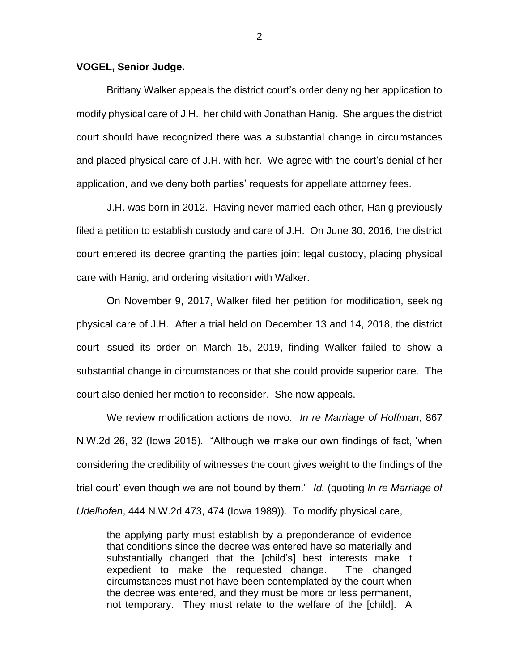## **VOGEL, Senior Judge.**

Brittany Walker appeals the district court's order denying her application to modify physical care of J.H., her child with Jonathan Hanig. She argues the district court should have recognized there was a substantial change in circumstances and placed physical care of J.H. with her. We agree with the court's denial of her application, and we deny both parties' requests for appellate attorney fees.

J.H. was born in 2012. Having never married each other, Hanig previously filed a petition to establish custody and care of J.H. On June 30, 2016, the district court entered its decree granting the parties joint legal custody, placing physical care with Hanig, and ordering visitation with Walker.

On November 9, 2017, Walker filed her petition for modification, seeking physical care of J.H. After a trial held on December 13 and 14, 2018, the district court issued its order on March 15, 2019, finding Walker failed to show a substantial change in circumstances or that she could provide superior care. The court also denied her motion to reconsider. She now appeals.

We review modification actions de novo. *In re Marriage of Hoffman*, 867 N.W.2d 26, 32 (Iowa 2015). "Although we make our own findings of fact, 'when considering the credibility of witnesses the court gives weight to the findings of the trial court' even though we are not bound by them." *Id.* (quoting *In re Marriage of Udelhofen*, 444 N.W.2d 473, 474 (Iowa 1989)). To modify physical care,

the applying party must establish by a preponderance of evidence that conditions since the decree was entered have so materially and substantially changed that the [child's] best interests make it expedient to make the requested change. The changed circumstances must not have been contemplated by the court when the decree was entered, and they must be more or less permanent, not temporary. They must relate to the welfare of the [child]. A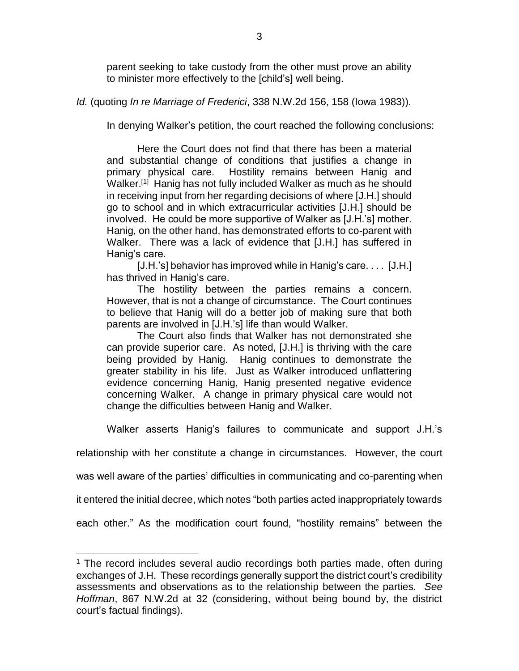parent seeking to take custody from the other must prove an ability to minister more effectively to the [child's] well being.

*Id.* (quoting *In re Marriage of Frederici*, 338 N.W.2d 156, 158 (Iowa 1983)).

In denying Walker's petition, the court reached the following conclusions:

Here the Court does not find that there has been a material and substantial change of conditions that justifies a change in primary physical care. Hostility remains between Hanig and Walker.<sup>[1]</sup> Hanig has not fully included Walker as much as he should in receiving input from her regarding decisions of where [J.H.] should go to school and in which extracurricular activities [J.H.] should be involved. He could be more supportive of Walker as [J.H.'s] mother. Hanig, on the other hand, has demonstrated efforts to co-parent with Walker. There was a lack of evidence that [J.H.] has suffered in Hanig's care.

[J.H.'s] behavior has improved while in Hanig's care.... [J.H.] has thrived in Hanig's care.

The hostility between the parties remains a concern. However, that is not a change of circumstance. The Court continues to believe that Hanig will do a better job of making sure that both parents are involved in [J.H.'s] life than would Walker.

The Court also finds that Walker has not demonstrated she can provide superior care. As noted, [J.H.] is thriving with the care being provided by Hanig. Hanig continues to demonstrate the greater stability in his life. Just as Walker introduced unflattering evidence concerning Hanig, Hanig presented negative evidence concerning Walker. A change in primary physical care would not change the difficulties between Hanig and Walker.

Walker asserts Hanig's failures to communicate and support J.H.'s

relationship with her constitute a change in circumstances. However, the court

was well aware of the parties' difficulties in communicating and co-parenting when

it entered the initial decree, which notes "both parties acted inappropriately towards

each other." As the modification court found, "hostility remains" between the

 $\overline{a}$ 

<sup>&</sup>lt;sup>1</sup> The record includes several audio recordings both parties made, often during exchanges of J.H. These recordings generally support the district court's credibility assessments and observations as to the relationship between the parties. *See Hoffman*, 867 N.W.2d at 32 (considering, without being bound by, the district court's factual findings).